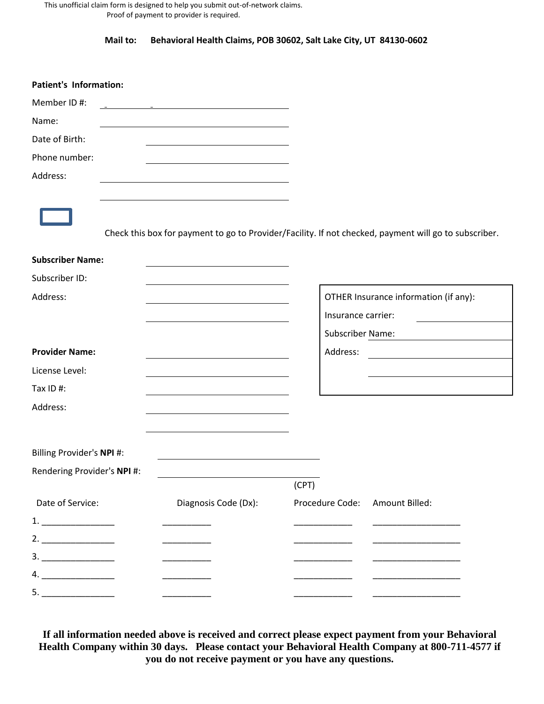This unofficial claim form is designed to help you submit out-of-network claims. Proof of payment to provider is required.

**Mail to: Behavioral Health Claims, POB 30602, Salt Lake City, UT 84130-0602**

| <b>Patient's Information:</b><br>Member ID#: |                                                             |       |                                       |                                                                                                       |
|----------------------------------------------|-------------------------------------------------------------|-------|---------------------------------------|-------------------------------------------------------------------------------------------------------|
|                                              | <u> 1989 - Johann Stoff, amerikansk politiker (d. 1989)</u> |       |                                       |                                                                                                       |
| Name:                                        |                                                             |       |                                       |                                                                                                       |
| Date of Birth:                               |                                                             |       |                                       |                                                                                                       |
| Phone number:                                |                                                             |       |                                       |                                                                                                       |
| Address:                                     |                                                             |       |                                       |                                                                                                       |
|                                              |                                                             |       |                                       |                                                                                                       |
|                                              |                                                             |       |                                       |                                                                                                       |
|                                              |                                                             |       |                                       | Check this box for payment to go to Provider/Facility. If not checked, payment will go to subscriber. |
|                                              |                                                             |       |                                       |                                                                                                       |
| <b>Subscriber Name:</b>                      |                                                             |       |                                       |                                                                                                       |
| Subscriber ID:                               |                                                             |       |                                       |                                                                                                       |
| Address:                                     |                                                             |       | OTHER Insurance information (if any): |                                                                                                       |
|                                              |                                                             |       | Insurance carrier:                    |                                                                                                       |
|                                              |                                                             |       | Subscriber Name:                      |                                                                                                       |
| <b>Provider Name:</b>                        |                                                             |       | Address:                              |                                                                                                       |
| License Level:                               |                                                             |       |                                       |                                                                                                       |
| Tax ID#:                                     |                                                             |       |                                       |                                                                                                       |
| Address:                                     |                                                             |       |                                       |                                                                                                       |
|                                              |                                                             |       |                                       |                                                                                                       |
|                                              |                                                             |       |                                       |                                                                                                       |
| Billing Provider's NPI #:                    |                                                             |       |                                       |                                                                                                       |
| Rendering Provider's NPI #:                  |                                                             |       |                                       |                                                                                                       |
|                                              |                                                             | (CPT) |                                       |                                                                                                       |
| Date of Service:                             | Diagnosis Code (Dx):                                        |       | Procedure Code:                       | Amount Billed:                                                                                        |
| $1. \underline{\hspace{2cm}}$                |                                                             |       |                                       |                                                                                                       |
| 2.                                           |                                                             |       |                                       |                                                                                                       |
|                                              |                                                             |       |                                       |                                                                                                       |
| 4.                                           |                                                             |       |                                       |                                                                                                       |
|                                              |                                                             |       |                                       |                                                                                                       |

**If all information needed above is received and correct please expect payment from your Behavioral Health Company within 30 days. Please contact your Behavioral Health Company at 800-711-4577 if you do not receive payment or you have any questions.**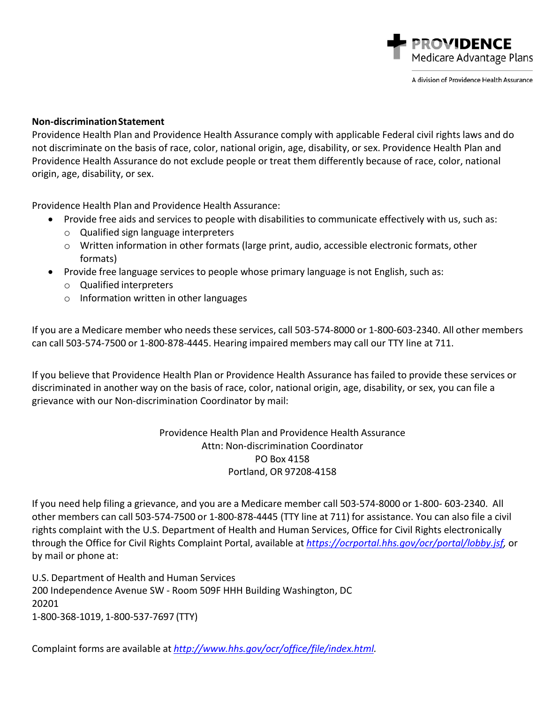

A division of Providence Health Assurance

## **Non‐discriminationStatement**

Providence Health Plan and Providence Health Assurance comply with applicable Federal civil rights laws and do not discriminate on the basis of race, color, national origin, age, disability, or sex. Providence Health Plan and Providence Health Assurance do not exclude people or treat them differently because of race, color, national origin, age, disability, or sex.

Providence Health Plan and Providence Health Assurance:

- Provide free aids and services to people with disabilities to communicate effectively with us, such as:
	- o Qualified sign language interpreters
	- $\circ$  Written information in other formats (large print, audio, accessible electronic formats, other formats)
- Provide free language services to people whose primary language is not English, such as:
	- o Qualified interpreters
	- o Information written in other languages

If you are a Medicare member who needs these services, call 503‐574‐8000 or 1‐800‐603‐2340. All other members can call 503‐574‐7500 or 1‐800‐878‐4445. Hearing impaired members may call our TTY line at 711.

If you believe that Providence Health Plan or Providence Health Assurance has failed to provide these services or discriminated in another way on the basis of race, color, national origin, age, disability, or sex, you can file a grievance with our Non‐discrimination Coordinator by mail:

> Providence Health Plan and Providence Health Assurance Attn: Non‐discrimination Coordinator PO Box 4158 Portland, OR 97208‐4158

If you need help filing a grievance, and you are a Medicare member call 503‐574‐8000 or 1‐800‐ 603‐2340. All other members can call 503‐574‐7500 or 1‐800‐878‐4445 (TTY line at 711) for assistance. You can also file a civil rights complaint with the U.S. Department of Health and Human Services, Office for Civil Rights electronically through the Office for Civil Rights Complaint Portal, available at *https://ocrportal.hhs.gov/ocr/portal/lobby.jsf,* or by mail or phone at:

U.S. Department of Health and Human Services 200 Independence Avenue SW ‐ Room 509F HHH Building Washington, DC 20201 1‐800‐368‐1019, 1‐800‐537‐7697 (TTY)

Complaint forms are available at *[http://www.hhs.gov/ocr/office/file/index.html.](http://www.hhs.gov/ocr/office/file/index.html)*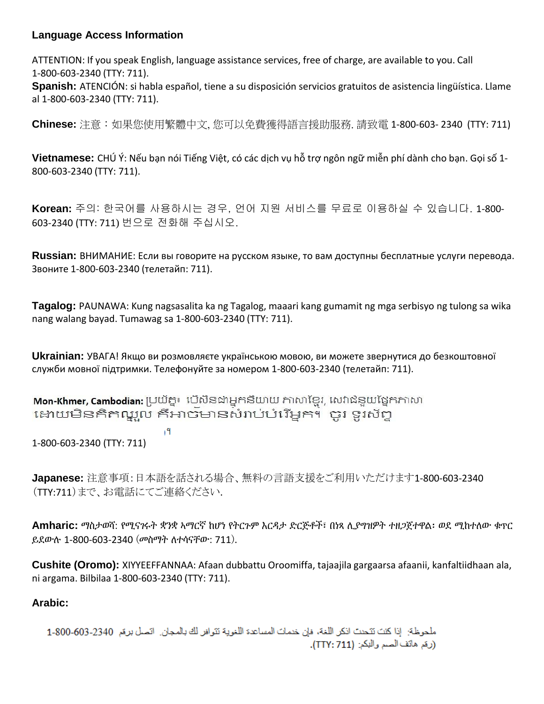## **Language Access Information**

ATTENTION: If you speak English, language assistance services, free of charge, are available to you. Call 1‐800‐603‐2340 (TTY: 711).

**Spanish:** ATENCIÓN: si habla español, tiene a su disposición servicios gratuitos de asistencia lingüística. Llame al 1‐800‐603‐2340 (TTY: 711).

**Chinese:** 注意:如果您使用繁體中文, 您可以免費獲得語言援助服務. 請致電 1‐800‐603‐ 2340 (TTY: 711)

**Vietnamese:** CHÚ Ý: Nếu bạn nói Tiếng Việt, có các dịch vụ hỗ trợ ngôn ngữ miễn phí dành cho bạn. Gọi số 1‐ 800‐603‐2340 (TTY: 711).

**Korean:** 주의: 한국어를 사용하시는 경우, 언어 지원 서비스를 무료로 이용하실 수 있습니다. 1‐800‐ 603‐2340 (TTY: 711) 번으로 전화해 주십시오.

**Russian:** ВНИМАНИЕ: Если вы говорите на русском языке, то вам доступны бесплатные услуги перевода. Звоните 1‐800‐603‐2340 (телетайп: 711).

**Tagalog:** PAUNAWA: Kung nagsasalita ka ng Tagalog, maaari kang gumamit ng mga serbisyo ng tulong sa wika nang walang bayad. Tumawag sa 1‐800‐603‐2340 (TTY: 711).

**Ukrainian:** УВАГА! Якщо ви розмовляєте українською мовою, ви можете звернутися до безкоштовної служби мовної підтримки. Телефонуйте за номером 1‐800‐603‐2340 (телетайп: 711).

Mon-Khmer, Cambodian: ប្រយ័ត្ន៖ បើសិនជាអ្នកនិយាយ ភាសាខ្មែរ, សេវាជំនួយផ្នែកភាសា ដោយមិនគិតាណ្ឌូល គឺអាចមានសំរាប់បំរើអ្នក។ ចូរ ទូរស័ក្ត

।។

1-800-603-2340 (TTY: 711)

**Japanese:** 注意事項:日本語を話される場合、無料の言語支援をご利用いただけます1‐800‐603‐2340 (TTY:711)まで、お電話にてご連絡ください.

**Amharic:** ማስታወሻ: የሚናገሩት ቋንቋ ኣማርኛ ከሆነ የትርጉም እርዳታ ድርጅቶች፣ በነጻ ሊያግዝዎት ተዘጋጀተዋል፡ ወደ ሚከተለው ቁጥር ይደውሉ 1‐800‐603‐2340 (መስማት ለተሳናቸው: 711).

**Cushite (Oromo):** XIYYEEFFANNAA: Afaan dubbattu Oroomiffa, tajaajila gargaarsa afaanii, kanfaltiidhaan ala, ni argama. Bilbilaa 1‐800‐603‐2340 (TTY: 711).

## **Arabic:**

ملحوظة: إذا كنت تتحدث انكر اللغة، فإن خدمات المساعدة اللغوية تتوافر لك بالمجان. اتصل برهَم 2340-603-1-200 (رقم هاتَف الصم والبكم: (711 :TTY).